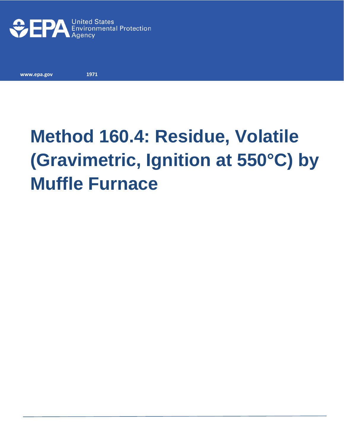

**www.epa.gov 1971**

## **Method 160.4: Residue, Volatile (Gravimetric, Ignition at 550°C) by Muffle Furnace**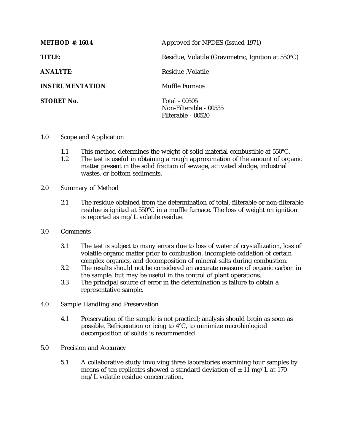| <b>METHOD</b> #: 160.4  | Approved for NPDES (Issued 1971)                              |
|-------------------------|---------------------------------------------------------------|
| <b>TITLE:</b>           | Residue, Volatile (Gravimetric, Ignition at 550°C)            |
| <b>ANALYTE:</b>         | Residue , Volatile                                            |
| <b>INSTRUMENTATION:</b> | Muffle Furnace                                                |
| <b>STORET No.</b>       | Total - 00505<br>Non-Filterable - 00535<br>Filterable - 00520 |

- 1.0 Scope and Application
	- 1.1 This method determines the weight of solid material combustible at  $550^{\circ}$ C.<br>1.2 The test is useful in obtaining a rough approximation of the amount of org.
	- The test is useful in obtaining a rough approximation of the amount of organic matter present in the solid fraction of sewage, activated sludge, industrial wastes, or bottom sediments.
- 2.0 Summary of Method
	- 2.1 The residue obtained from the determination of total, filterable or non-filterable residue is ignited at 550°C in a muffle furnace. The loss of weight on ignition is reported as mg/L volatile residue.
- 3.0 Comments
	- 3.1 The test is subject to many errors due to loss of water of crystallization, loss of volatile organic matter prior to combustion, incomplete oxidation of certain complex organics, and decomposition of mineral salts during combustion.
	- 3.2 The results should not be considered an accurate measure of organic carbon in the sample, but may be useful in the control of plant operations.
	- 3.3 The principal source of error in the determination is failure to obtain a representative sample.
- 4.0 Sample Handling and Preservation
	- 4.1 Preservation of the sample is not practical; analysis should begin as soon as possible. Refrigeration or icing to 4°C, to minimize microbiological decomposition of solids is recommended.
- 5.0 Precision and Accuracy
	- 5.1 A collaborative study involving three laboratories examining four samples by means of ten replicates showed a standard deviation of  $\pm$  11 mg/L at 170 mg/L volatile residue concentration.